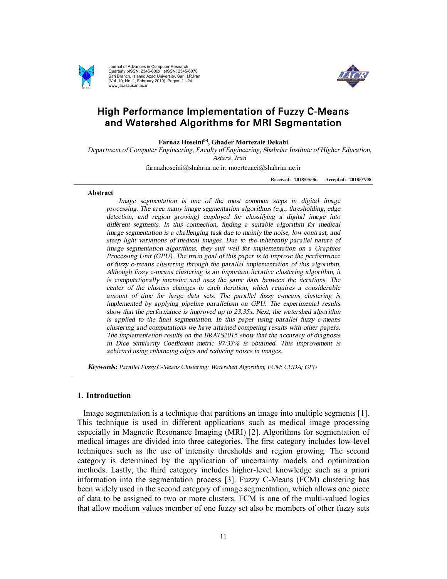

Journal of Advances in Computer Research Quarterly pISSN: 2345-606x eISSN: 2345-6078 Sari Branch, Islamic Azad University, Sari, I.R.Iran (Vol. 10, No. 1, February 2019), Pages: 11-24 www.jacr.iausari.ac.ir



# High Performance Implementation of Fuzzy C-Means and Watershed Algorithms for MRI Segmentation

**Farnaz Hoseini**\***, Ghader Mortezaie Dekahi** 

*Department of Computer Engineering, Faculty of Engineering, Shahriar Institute of Higher Education, Astara, Iran* 

farnazhoseini@shahriar.ac.ir; moertezaei@shahriar.ac.ir

**Received: 2018/05/06; Accepted: 2018/07/08**

#### **Abstract**

*Image segmentation is one of the most common steps in digital image processing. The area many image segmentation algorithms (e.g., thresholding, edge detection, and region growing) employed for classifying <sup>a</sup> digital image into different segments. In this connection, finding <sup>a</sup> suitable algorithm for medical image segmentation is <sup>a</sup> challenging task due to mainly the noise, low contrast, and steep light variations of medical images. Due to the inherently parallel nature of image segmentation algorithms, they suit well for implementation on <sup>a</sup> Graphics Processing Unit (GPU). The main goal of this paper is to improve the performance of fuzzy c-means clustering through the parallel implementation of this algorithm. Although fuzzy c-means clustering is an important iterative clustering algorithm, it is computationally intensive and uses the same data between the iterations. The center of the clusters changes in each iteration, which requires <sup>a</sup> considerable amount of time for large data sets. The parallel fuzzy c-means clustering is implemented by applying pipeline parallelism on GPU. The experimental results show that the performance is improved up to 23.35x. Next, the watershed algorithm is applied to the final segmentation. In this paper using parallel fuzzy c-means clustering and computations we have attained competing results with other papers. The implementation results on the BRATS2015 show that the accuracy of diagnosis in Dice Similarity Coefficient metric 97/33% is obtained. This improvement is achieved using enhancing edges and reducing noises in images.* 

*Keywords: Parallel Fuzzy C-Means Clustering; Watershed Algorithm; FCM; CUDA; GPU* 

## **1. Introduction**

Image segmentation is a technique that partitions an image into multiple segments [1]. This technique is used in different applications such as medical image processing especially in Magnetic Resonance Imaging (MRI) [2]. Algorithms for segmentation of medical images are divided into three categories. The first category includes low-level techniques such as the use of intensity thresholds and region growing. The second category is determined by the application of uncertainty models and optimization methods. Lastly, the third category includes higher-level knowledge such as a priori information into the segmentation process [3]. Fuzzy C-Means (FCM) clustering has been widely used in the second category of image segmentation, which allows one piece of data to be assigned to two or more clusters. FCM is one of the multi-valued logics that allow medium values member of one fuzzy set also be members of other fuzzy sets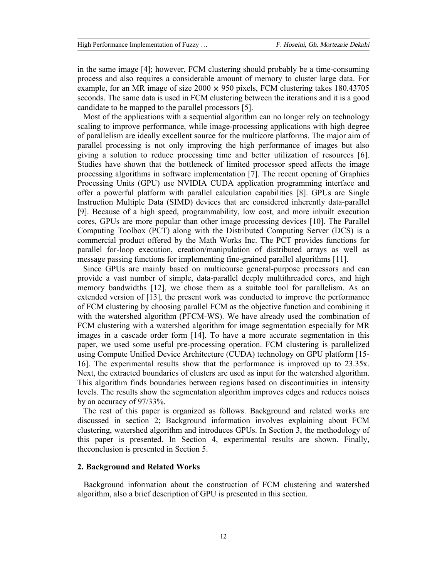in the same image [4]; however, FCM clustering should probably be a time-consuming process and also requires a considerable amount of memory to cluster large data. For example, for an MR image of size  $2000 \times 950$  pixels, FCM clustering takes 180.43705 seconds. The same data is used in FCM clustering between the iterations and it is a good candidate to be mapped to the parallel processors [5].

Most of the applications with a sequential algorithm can no longer rely on technology scaling to improve performance, while image-processing applications with high degree of parallelism are ideally excellent source for the multicore platforms. The major aim of parallel processing is not only improving the high performance of images but also giving a solution to reduce processing time and better utilization of resources [6]. Studies have shown that the bottleneck of limited processor speed affects the image processing algorithms in software implementation [7]. The recent opening of Graphics Processing Units (GPU) use NVIDIA CUDA application programming interface and offer a powerful platform with parallel calculation capabilities [8]. GPUs are Single Instruction Multiple Data (SIMD) devices that are considered inherently data-parallel [9]. Because of a high speed, programmability, low cost, and more inbuilt execution cores, GPUs are more popular than other image processing devices [10]. The Parallel Computing Toolbox (PCT) along with the Distributed Computing Server (DCS) is a commercial product offered by the Math Works Inc. The PCT provides functions for parallel for-loop execution, creation/manipulation of distributed arrays as well as message passing functions for implementing fine-grained parallel algorithms [11].

Since GPUs are mainly based on multicourse general-purpose processors and can provide a vast number of simple, data-parallel deeply multithreaded cores, and high memory bandwidths [12], we chose them as a suitable tool for parallelism. As an extended version of [13], the present work was conducted to improve the performance of FCM clustering by choosing parallel FCM as the objective function and combining it with the watershed algorithm (PFCM-WS). We have already used the combination of FCM clustering with a watershed algorithm for image segmentation especially for MR images in a cascade order form [14]. To have a more accurate segmentation in this paper, we used some useful pre-processing operation. FCM clustering is parallelized using Compute Unified Device Architecture (CUDA) technology on GPU platform [15- 16]. The experimental results show that the performance is improved up to 23.35x. Next, the extracted boundaries of clusters are used as input for the watershed algorithm. This algorithm finds boundaries between regions based on discontinuities in intensity levels. The results show the segmentation algorithm improves edges and reduces noises by an accuracy of 97/33%.

The rest of this paper is organized as follows. Background and related works are discussed in section 2; Background information involves explaining about FCM clustering, watershed algorithm and introduces GPUs. In Section 3, the methodology of this paper is presented. In Section 4, experimental results are shown. Finally, theconclusion is presented in Section 5.

# **2. Background and Related Works**

 Background information about the construction of FCM clustering and watershed algorithm, also a brief description of GPU is presented in this section.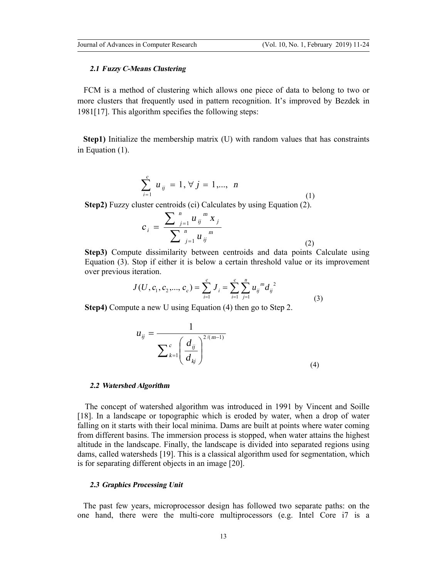# *2.1 Fuzzy C-Means Clustering*

 FCM is a method of clustering which allows one piece of data to belong to two or more clusters that frequently used in pattern recognition. It's improved by Bezdek in 1981[17]. This algorithm specifies the following steps:

**Step1)** Initialize the membership matrix (U) with random values that has constraints in Equation (1).

$$
\sum_{i=1}^{c} u_{ij} = 1, \forall j = 1,..., n
$$
 (1)

**Step2)** Fuzzy cluster centroids (ci) Calculates by using Equation (2).

$$
c_{i} = \frac{\sum_{j=1}^{n} u_{ij}^{m} x_{j}}{\sum_{j=1}^{n} u_{ij}^{m}}
$$
\n(2)

**Step3)** Compute dissimilarity between centroids and data points Calculate using Equation (3). Stop if either it is below a certain threshold value or its improvement over previous iteration.

$$
J(U, c_1, c_2, ..., c_c) = \sum_{i=1}^{c} J_i = \sum_{i=1}^{c} \sum_{j=1}^{n} u_{ij}^{m} d_{ij}^{2}
$$
\n(3)

**Step4)** Compute a new U using Equation (4) then go to Step 2.

$$
u_{ij} = \frac{1}{\sum_{k=1}^{c} \left(\frac{d_{ij}}{d_{kj}}\right)^{2/(m-1)}}
$$
(4)

### *2.2 Watershed Algorithm*

The concept of watershed algorithm was introduced in 1991 by Vincent and Soille [18]. In a landscape or topographic which is eroded by water, when a drop of water falling on it starts with their local minima. Dams are built at points where water coming from different basins. The immersion process is stopped, when water attains the highest altitude in the landscape. Finally, the landscape is divided into separated regions using dams, called watersheds [19]. This is a classical algorithm used for segmentation, which is for separating different objects in an image [20].

# *2.3 Graphics Processing Unit*

The past few years, microprocessor design has followed two separate paths: on the one hand, there were the multi-core multiprocessors (e.g. Intel Core i7 is a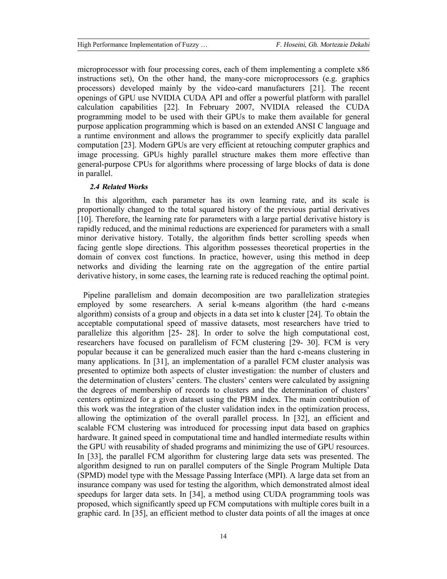microprocessor with four processing cores, each of them implementing a complete x86 instructions set), On the other hand, the many-core microprocessors (e.g. graphics processors) developed mainly by the video-card manufacturers [21]. The recent openings of GPU use NVIDIA CUDA API and offer a powerful platform with parallel calculation capabilities [22]. In February 2007, NVIDIA released the CUDA programming model to be used with their GPUs to make them available for general purpose application programming which is based on an extended ANSI C language and a runtime environment and allows the programmer to specify explicitly data parallel computation [23]. Modern GPUs are very efficient at retouching computer graphics and image processing. GPUs highly parallel structure makes them more effective than general-purpose CPUs for algorithms where processing of large blocks of data is done in parallel.

## *2.4 Related Works*

In this algorithm, each parameter has its own learning rate, and its scale is proportionally changed to the total squared history of the previous partial derivatives [10]. Therefore, the learning rate for parameters with a large partial derivative history is rapidly reduced, and the minimal reductions are experienced for parameters with a small minor derivative history. Totally, the algorithm finds better scrolling speeds when facing gentle slope directions. This algorithm possesses theoretical properties in the domain of convex cost functions. In practice, however, using this method in deep networks and dividing the learning rate on the aggregation of the entire partial derivative history, in some cases, the learning rate is reduced reaching the optimal point.

Pipeline parallelism and domain decomposition are two parallelization strategies employed by some researchers. A serial k-means algorithm (the hard c-means algorithm) consists of a group and objects in a data set into k cluster [24]. To obtain the acceptable computational speed of massive datasets, most researchers have tried to parallelize this algorithm [25- 28]. In order to solve the high computational cost, researchers have focused on parallelism of FCM clustering [29- 30]. FCM is very popular because it can be generalized much easier than the hard c-means clustering in many applications. In [31], an implementation of a parallel FCM cluster analysis was presented to optimize both aspects of cluster investigation: the number of clusters and the determination of clusters' centers. The clusters' centers were calculated by assigning the degrees of membership of records to clusters and the determination of clusters' centers optimized for a given dataset using the PBM index. The main contribution of this work was the integration of the cluster validation index in the optimization process, allowing the optimization of the overall parallel process. In [32], an efficient and scalable FCM clustering was introduced for processing input data based on graphics hardware. It gained speed in computational time and handled intermediate results within the GPU with reusability of shaded programs and minimizing the use of GPU resources. In [33], the parallel FCM algorithm for clustering large data sets was presented. The algorithm designed to run on parallel computers of the Single Program Multiple Data (SPMD) model type with the Message Passing Interface (MPI). A large data set from an insurance company was used for testing the algorithm, which demonstrated almost ideal speedups for larger data sets. In [34], a method using CUDA programming tools was proposed, which significantly speed up FCM computations with multiple cores built in a graphic card. In [35], an efficient method to cluster data points of all the images at once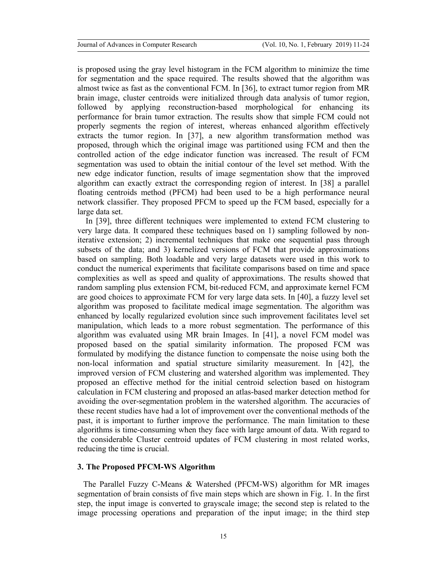is proposed using the gray level histogram in the FCM algorithm to minimize the time for segmentation and the space required. The results showed that the algorithm was almost twice as fast as the conventional FCM. In [36], to extract tumor region from MR brain image, cluster centroids were initialized through data analysis of tumor region, followed by applying reconstruction-based morphological for enhancing its performance for brain tumor extraction. The results show that simple FCM could not properly segments the region of interest, whereas enhanced algorithm effectively extracts the tumor region. In [37], a new algorithm transformation method was proposed, through which the original image was partitioned using FCM and then the controlled action of the edge indicator function was increased. The result of FCM segmentation was used to obtain the initial contour of the level set method. With the new edge indicator function, results of image segmentation show that the improved algorithm can exactly extract the corresponding region of interest. In [38] a parallel floating centroids method (PFCM) had been used to be a high performance neural network classifier. They proposed PFCM to speed up the FCM based, especially for a large data set.

 In [39], three different techniques were implemented to extend FCM clustering to very large data. It compared these techniques based on 1) sampling followed by noniterative extension; 2) incremental techniques that make one sequential pass through subsets of the data; and 3) kernelized versions of FCM that provide approximations based on sampling. Both loadable and very large datasets were used in this work to conduct the numerical experiments that facilitate comparisons based on time and space complexities as well as speed and quality of approximations. The results showed that random sampling plus extension FCM, bit-reduced FCM, and approximate kernel FCM are good choices to approximate FCM for very large data sets. In [40], a fuzzy level set algorithm was proposed to facilitate medical image segmentation. The algorithm was enhanced by locally regularized evolution since such improvement facilitates level set manipulation, which leads to a more robust segmentation. The performance of this algorithm was evaluated using MR brain Images. In [41], a novel FCM model was proposed based on the spatial similarity information. The proposed FCM was formulated by modifying the distance function to compensate the noise using both the non-local information and spatial structure similarity measurement. In [42], the improved version of FCM clustering and watershed algorithm was implemented. They proposed an effective method for the initial centroid selection based on histogram calculation in FCM clustering and proposed an atlas-based marker detection method for avoiding the over-segmentation problem in the watershed algorithm. The accuracies of these recent studies have had a lot of improvement over the conventional methods of the past, it is important to further improve the performance. The main limitation to these algorithms is time-consuming when they face with large amount of data. With regard to the considerable Cluster centroid updates of FCM clustering in most related works, reducing the time is crucial.

# **3. The Proposed PFCM-WS Algorithm**

The Parallel Fuzzy C-Means & Watershed (PFCM-WS) algorithm for MR images segmentation of brain consists of five main steps which are shown in Fig. 1. In the first step, the input image is converted to grayscale image; the second step is related to the image processing operations and preparation of the input image; in the third step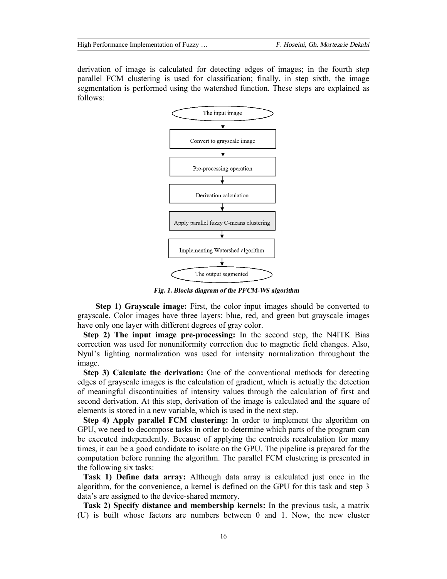derivation of image is calculated for detecting edges of images; in the fourth step parallel FCM clustering is used for classification; finally, in step sixth, the image segmentation is performed using the watershed function. These steps are explained as follows:



*Fig. 1. Blocks diagram of the PFCM-WS algorithm* 

 **Step 1) Grayscale image:** First, the color input images should be converted to grayscale. Color images have three layers: blue, red, and green but grayscale images have only one layer with different degrees of gray color.

**Step 2) The input image pre-processing:** In the second step, the N4ITK Bias correction was used for nonuniformity correction due to magnetic field changes. Also, Nyul's lighting normalization was used for intensity normalization throughout the image.

**Step 3) Calculate the derivation:** One of the conventional methods for detecting edges of grayscale images is the calculation of gradient, which is actually the detection of meaningful discontinuities of intensity values through the calculation of first and second derivation. At this step, derivation of the image is calculated and the square of elements is stored in a new variable, which is used in the next step.

**Step 4) Apply parallel FCM clustering:** In order to implement the algorithm on GPU, we need to decompose tasks in order to determine which parts of the program can be executed independently. Because of applying the centroids recalculation for many times, it can be a good candidate to isolate on the GPU. The pipeline is prepared for the computation before running the algorithm. The parallel FCM clustering is presented in the following six tasks:

**Task 1) Define data array:** Although data array is calculated just once in the algorithm, for the convenience, a kernel is defined on the GPU for this task and step 3 data's are assigned to the device-shared memory.

**Task 2) Specify distance and membership kernels:** In the previous task, a matrix (U) is built whose factors are numbers between 0 and 1. Now, the new cluster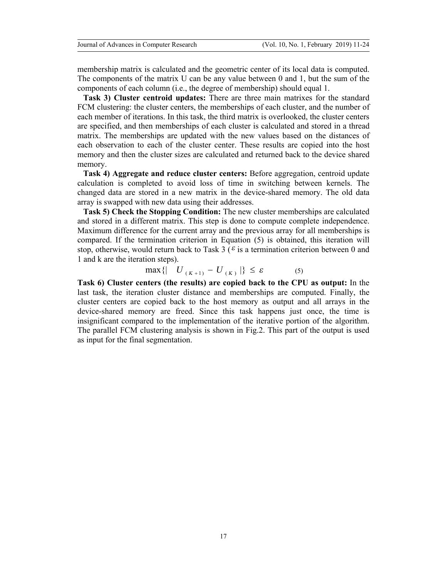membership matrix is calculated and the geometric center of its local data is computed. The components of the matrix U can be any value between 0 and 1, but the sum of the components of each column (i.e., the degree of membership) should equal 1.

**Task 3) Cluster centroid updates:** There are three main matrixes for the standard FCM clustering: the cluster centers, the memberships of each cluster, and the number of each member of iterations. In this task, the third matrix is overlooked, the cluster centers are specified, and then memberships of each cluster is calculated and stored in a thread matrix. The memberships are updated with the new values based on the distances of each observation to each of the cluster center. These results are copied into the host memory and then the cluster sizes are calculated and returned back to the device shared memory.

**Task 4) Aggregate and reduce cluster centers:** Before aggregation, centroid update calculation is completed to avoid loss of time in switching between kernels. The changed data are stored in a new matrix in the device-shared memory. The old data array is swapped with new data using their addresses.

**Task 5) Check the Stopping Condition:** The new cluster memberships are calculated and stored in a different matrix. This step is done to compute complete independence. Maximum difference for the current array and the previous array for all memberships is compared. If the termination criterion in Equation (5) is obtained, this iteration will stop, otherwise, would return back to Task 3 ( $\epsilon$  is a termination criterion between 0 and 1 and k are the iteration steps).

$$
\max\left\{ \left| U_{(K+1)} - U_{(K)} \right| \right\} \le \varepsilon \tag{5}
$$

**Task 6) Cluster centers (the results) are copied back to the CPU as output:** In the last task, the iteration cluster distance and memberships are computed. Finally, the cluster centers are copied back to the host memory as output and all arrays in the device-shared memory are freed. Since this task happens just once, the time is insignificant compared to the implementation of the iterative portion of the algorithm. The parallel FCM clustering analysis is shown in Fig.2. This part of the output is used as input for the final segmentation.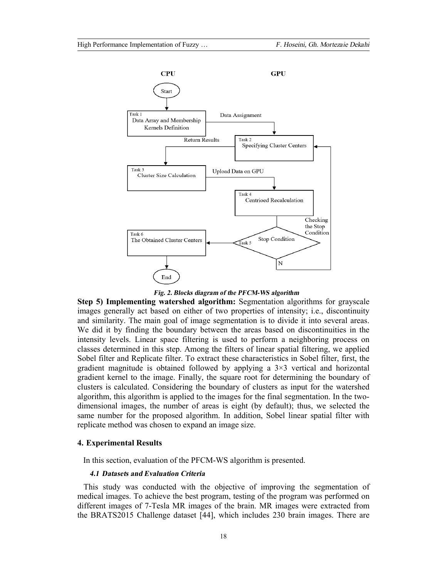

*Fig. 2. Blocks diagram of the PFCM-WS algorithm*

**Step 5) Implementing watershed algorithm:** Segmentation algorithms for grayscale images generally act based on either of two properties of intensity; i.e., discontinuity and similarity. The main goal of image segmentation is to divide it into several areas. We did it by finding the boundary between the areas based on discontinuities in the intensity levels. Linear space filtering is used to perform a neighboring process on classes determined in this step. Among the filters of linear spatial filtering, we applied Sobel filter and Replicate filter. To extract these characteristics in Sobel filter, first, the gradient magnitude is obtained followed by applying a  $3\times3$  vertical and horizontal gradient kernel to the image. Finally, the square root for determining the boundary of clusters is calculated. Considering the boundary of clusters as input for the watershed algorithm, this algorithm is applied to the images for the final segmentation. In the twodimensional images, the number of areas is eight (by default); thus, we selected the same number for the proposed algorithm. In addition, Sobel linear spatial filter with replicate method was chosen to expand an image size.

# **4. Experimental Results**

In this section, evaluation of the PFCM-WS algorithm is presented.

## *4.1 Datasets and Evaluation Criteria*

This study was conducted with the objective of improving the segmentation of medical images. To achieve the best program, testing of the program was performed on different images of 7-Tesla MR images of the brain. MR images were extracted from the BRATS2015 Challenge dataset [44], which includes 230 brain images. There are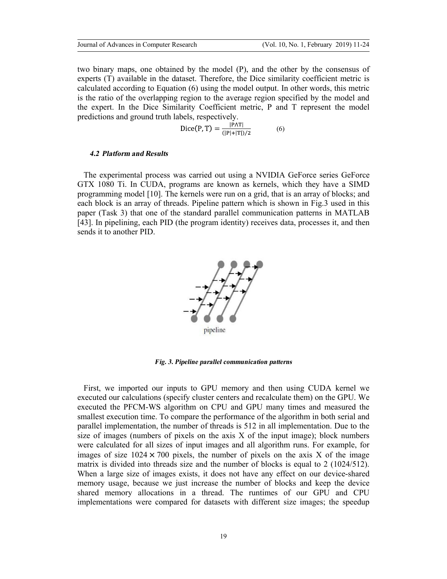two binary maps, one obtained by the model (P), and the other by the consensus of experts (T) available in the dataset. Therefore, the Dice similarity coefficient metric is calculated according to Equation (6) using the model output. In other words, this metric is the ratio of the overlapping region to the average region specified by the model and the expert. In the Dice Similarity Coefficient metric, P and T represent the model predictions and ground truth labels, respectively.

$$
Dice(P, T) = \frac{|P \wedge T|}{(|P| + |T|)/2}
$$
 (6)

### *4.2 Platform and Results*

The experimental process was carried out using a NVIDIA GeForce series GeForce GTX 1080 Ti. In CUDA, programs are known as kernels, which they have a SIMD programming model [10]. The kernels were run on a grid, that is an array of blocks; and each block is an array of threads. Pipeline pattern which is shown in Fig.3 used in this paper (Task 3) that one of the standard parallel communication patterns in MATLAB [43]. In pipelining, each PID (the program identity) receives data, processes it, and then sends it to another PID.



*Fig. 3. Pipeline parallel communication patterns*

First, we imported our inputs to GPU memory and then using CUDA kernel we executed our calculations (specify cluster centers and recalculate them) on the GPU. We executed the PFCM-WS algorithm on CPU and GPU many times and measured the smallest execution time. To compare the performance of the algorithm in both serial and parallel implementation, the number of threads is 512 in all implementation. Due to the size of images (numbers of pixels on the axis  $X$  of the input image); block numbers were calculated for all sizes of input images and all algorithm runs. For example, for images of size  $1024 \times 700$  pixels, the number of pixels on the axis X of the image matrix is divided into threads size and the number of blocks is equal to 2 (1024/512). When a large size of images exists, it does not have any effect on our device-shared memory usage, because we just increase the number of blocks and keep the device shared memory allocations in a thread. The runtimes of our GPU and CPU implementations were compared for datasets with different size images; the speedup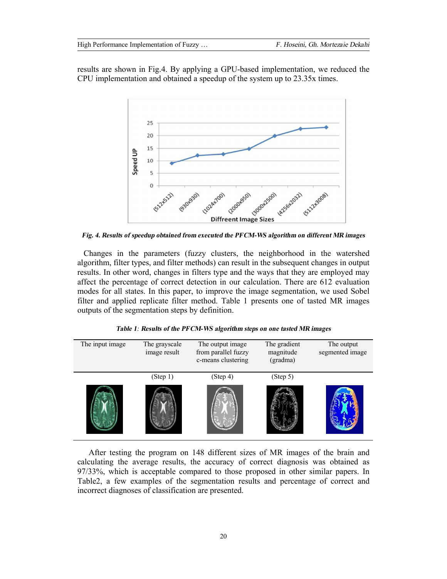results are shown in Fig.4. By applying a GPU-based implementation, we reduced the CPU implementation and obtained a speedup of the system up to 23.35x times.



*Fig. 4. Results of speedup obtained from executed the PFCM-WS algorithm on different MR images* 

Changes in the parameters (fuzzy clusters, the neighborhood in the watershed algorithm, filter types, and filter methods) can result in the subsequent changes in output results. In other word, changes in filters type and the ways that they are employed may affect the percentage of correct detection in our calculation. There are 612 evaluation modes for all states. In this paper, to improve the image segmentation, we used Sobel filter and applied replicate filter method. Table 1 presents one of tasted MR images outputs of the segmentation steps by definition.

|  |  |  |  | Table 1: Results of the PFCM-WS algorithm steps on one tasted MR images |  |  |
|--|--|--|--|-------------------------------------------------------------------------|--|--|
|--|--|--|--|-------------------------------------------------------------------------|--|--|

| The input image | The grayscale<br>image result | The output image<br>from parallel fuzzy<br>c-means clustering | The gradient<br>magnitude<br>(gradma) | The output<br>segmented image |
|-----------------|-------------------------------|---------------------------------------------------------------|---------------------------------------|-------------------------------|
|                 | (Step 1)                      | (Step 4)                                                      | (Step 5)                              |                               |
|                 |                               |                                                               |                                       |                               |

 After testing the program on 148 different sizes of MR images of the brain and calculating the average results, the accuracy of correct diagnosis was obtained as 97/33%, which is acceptable compared to those proposed in other similar papers. In Table2, a few examples of the segmentation results and percentage of correct and incorrect diagnoses of classification are presented.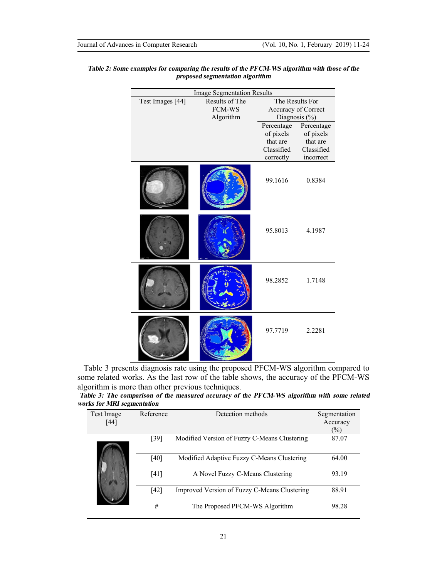|                  | <b>Image Segmentation Results</b> |                     |            |  |  |
|------------------|-----------------------------------|---------------------|------------|--|--|
| Test Images [44] | Results of The                    | The Results For     |            |  |  |
|                  | <b>FCM-WS</b>                     | Accuracy of Correct |            |  |  |
|                  | Algorithm                         | Diagnosis (%)       |            |  |  |
|                  |                                   | Percentage          | Percentage |  |  |
|                  |                                   | of pixels           | of pixels  |  |  |
|                  |                                   | that are            | that are   |  |  |
|                  |                                   | Classified          | Classified |  |  |
|                  |                                   | correctly           | incorrect  |  |  |
|                  |                                   | 99.1616             | 0.8384     |  |  |
|                  |                                   | 95.8013             | 4.1987     |  |  |
|                  |                                   | 98.2852             | 1.7148     |  |  |
|                  |                                   | 97.7719             | 2.2281     |  |  |

# *Table 2: Some examples for comparing the results of the PFCM-WS algorithm with those of the proposed segmentation algorithm*

Table 3 presents diagnosis rate using the proposed PFCM-WS algorithm compared to some related works. As the last row of the table shows, the accuracy of the PFCM-WS algorithm is more than other previous techniques.

| Table 3: The comparison of the measured accuracy of the PFCM-WS algorithm with some related |  |  |  |  |  |
|---------------------------------------------------------------------------------------------|--|--|--|--|--|
| works for MRI segmentation                                                                  |  |  |  |  |  |

| Test Image<br>[44] | Reference | Detection methods                            | Segmentation<br>Accuracy<br>$(\%)$ |
|--------------------|-----------|----------------------------------------------|------------------------------------|
|                    | [39]      | Modified Version of Fuzzy C-Means Clustering | 87.07                              |
|                    | [40]      | Modified Adaptive Fuzzy C-Means Clustering   | 64.00                              |
|                    | [41]      | A Novel Fuzzy C-Means Clustering             | 93.19                              |
|                    | [42]      | Improved Version of Fuzzy C-Means Clustering | 88.91                              |
|                    | #         | The Proposed PFCM-WS Algorithm               | 98.28                              |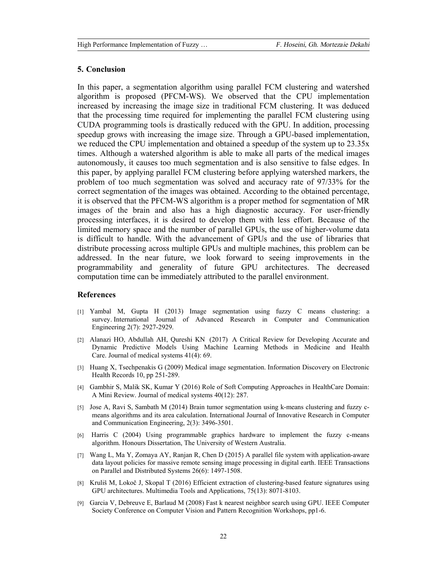# **5. Conclusion**

In this paper, a segmentation algorithm using parallel FCM clustering and watershed algorithm is proposed (PFCM-WS). We observed that the CPU implementation increased by increasing the image size in traditional FCM clustering. It was deduced that the processing time required for implementing the parallel FCM clustering using CUDA programming tools is drastically reduced with the GPU. In addition, processing speedup grows with increasing the image size. Through a GPU-based implementation, we reduced the CPU implementation and obtained a speedup of the system up to 23.35x times. Although a watershed algorithm is able to make all parts of the medical images autonomously, it causes too much segmentation and is also sensitive to false edges. In this paper, by applying parallel FCM clustering before applying watershed markers, the problem of too much segmentation was solved and accuracy rate of 97/33% for the correct segmentation of the images was obtained. According to the obtained percentage, it is observed that the PFCM-WS algorithm is a proper method for segmentation of MR images of the brain and also has a high diagnostic accuracy. For user-friendly processing interfaces, it is desired to develop them with less effort. Because of the limited memory space and the number of parallel GPUs, the use of higher-volume data is difficult to handle. With the advancement of GPUs and the use of libraries that distribute processing across multiple GPUs and multiple machines, this problem can be addressed. In the near future, we look forward to seeing improvements in the programmability and generality of future GPU architectures. The decreased computation time can be immediately attributed to the parallel environment.

### **References**

- [1] Yambal M, Gupta H (2013) Image segmentation using fuzzy C means clustering: a survey. International Journal of Advanced Research in Computer and Communication Engineering 2(7): 2927-2929.
- [2] Alanazi HO, Abdullah AH, Qureshi KN (2017) A Critical Review for Developing Accurate and Dynamic Predictive Models Using Machine Learning Methods in Medicine and Health Care. Journal of medical systems 41(4): 69.
- [3] Huang X, Tsechpenakis G (2009) Medical image segmentation. Information Discovery on Electronic Health Records 10, pp 251-289.
- [4] Gambhir S, Malik SK, Kumar Y (2016) Role of Soft Computing Approaches in HealthCare Domain: A Mini Review. Journal of medical systems 40(12): 287.
- [5] Jose A, Ravi S, Sambath M (2014) Brain tumor segmentation using k-means clustering and fuzzy cmeans algorithms and its area calculation. International Journal of Innovative Research in Computer and Communication Engineering, 2(3): 3496-3501.
- [6] Harris C (2004) Using programmable graphics hardware to implement the fuzzy c-means algorithm. Honours Dissertation, The University of Western Australia.
- [7] Wang L, Ma Y, Zomaya AY, Ranjan R, Chen D (2015) A parallel file system with application-aware data layout policies for massive remote sensing image processing in digital earth. IEEE Transactions on Parallel and Distributed Systems 26(6): 1497-1508.
- [8] Kruliš M, Lokoč J, Skopal T (2016) Efficient extraction of clustering-based feature signatures using GPU architectures. Multimedia Tools and Applications, 75(13): 8071-8103.
- [9] Garcia V, Debreuve E, Barlaud M (2008) Fast k nearest neighbor search using GPU. IEEE Computer Society Conference on Computer Vision and Pattern Recognition Workshops, pp1-6.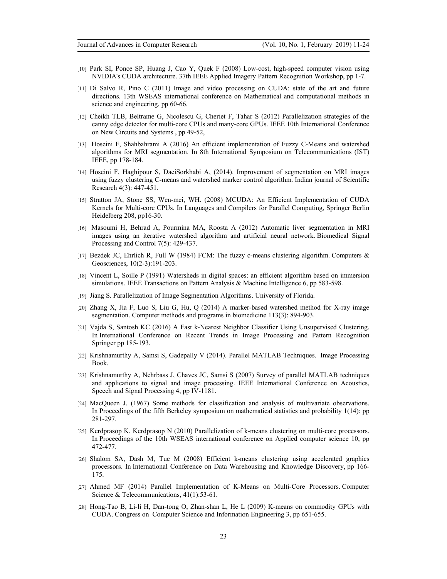- [10] Park SI, Ponce SP, Huang J, Cao Y, Quek F (2008) Low-cost, high-speed computer vision using NVIDIA's CUDA architecture. 37th IEEE Applied Imagery Pattern Recognition Workshop, pp 1-7.
- [11] Di Salvo R, Pino C (2011) Image and video processing on CUDA: state of the art and future directions. 13th WSEAS international conference on Mathematical and computational methods in science and engineering, pp 60-66.
- [12] Cheikh TLB, Beltrame G, Nicolescu G, Cheriet F, Tahar S (2012) Parallelization strategies of the canny edge detector for multi-core CPUs and many-core GPUs. IEEE 10th International Conference on New Circuits and Systems , pp 49-52,
- [13] Hoseini F, Shahbahrami A (2016) An efficient implementation of Fuzzy C-Means and watershed algorithms for MRI segmentation. In 8th International Symposium on Telecommunications (IST) IEEE, pp 178-184.
- [14] Hoseini F, Haghipour S, DaeiSorkhabi A, (2014). Improvement of segmentation on MRI images using fuzzy clustering C-means and watershed marker control algorithm. Indian journal of Scientific Research 4(3): 447-451.
- [15] Stratton JA, Stone SS, Wen-mei, WH. (2008) MCUDA: An Efficient Implementation of CUDA Kernels for Multi-core CPUs. In Languages and Compilers for Parallel Computing, Springer Berlin Heidelberg 208, pp16-30.
- [16] Masoumi H, Behrad A, Pourmina MA, Roosta A (2012) Automatic liver segmentation in MRI images using an iterative watershed algorithm and artificial neural network. Biomedical Signal Processing and Control 7(5): 429-437.
- [17] Bezdek JC, Ehrlich R, Full W (1984) FCM: The fuzzy c-means clustering algorithm. Computers & Geosciences, 10(2-3):191-203.
- [18] Vincent L, Soille P (1991) Watersheds in digital spaces: an efficient algorithm based on immersion simulations. IEEE Transactions on Pattern Analysis & Machine Intelligence 6, pp 583-598.
- [19] Jiang S. Parallelization of Image Segmentation Algorithms. University of Florida.
- [20] Zhang X, Jia F, Luo S, Liu G, Hu, Q (2014) A marker-based watershed method for X-ray image segmentation. Computer methods and programs in biomedicine 113(3): 894-903.
- [21] Vajda S, Santosh KC (2016) A Fast k-Nearest Neighbor Classifier Using Unsupervised Clustering. In International Conference on Recent Trends in Image Processing and Pattern Recognition Springer pp 185-193.
- [22] Krishnamurthy A, Samsi S, Gadepally V (2014). Parallel MATLAB Techniques. Image Processing Book.
- [23] Krishnamurthy A, Nehrbass J, Chaves JC, Samsi S (2007) Survey of parallel MATLAB techniques and applications to signal and image processing. IEEE International Conference on Acoustics, Speech and Signal Processing 4, pp IV-1181.
- [24] MacQueen J. (1967) Some methods for classification and analysis of multivariate observations. In Proceedings of the fifth Berkeley symposium on mathematical statistics and probability 1(14): pp 281-297.
- [25] Kerdprasop K, Kerdprasop N (2010) Parallelization of k-means clustering on multi-core processors. In Proceedings of the 10th WSEAS international conference on Applied computer science 10, pp 472-477.
- [26] Shalom SA, Dash M, Tue M (2008) Efficient k-means clustering using accelerated graphics processors. In International Conference on Data Warehousing and Knowledge Discovery, pp 166- 175.
- [27] Ahmed MF (2014) Parallel Implementation of K-Means on Multi-Core Processors. Computer Science & Telecommunications, 41(1):53-61.
- [28] Hong-Tao B, Li-li H, Dan-tong O, Zhan-shan L, He L (2009) K-means on commodity GPUs with CUDA. Congress on Computer Science and Information Engineering 3, pp 651-655.